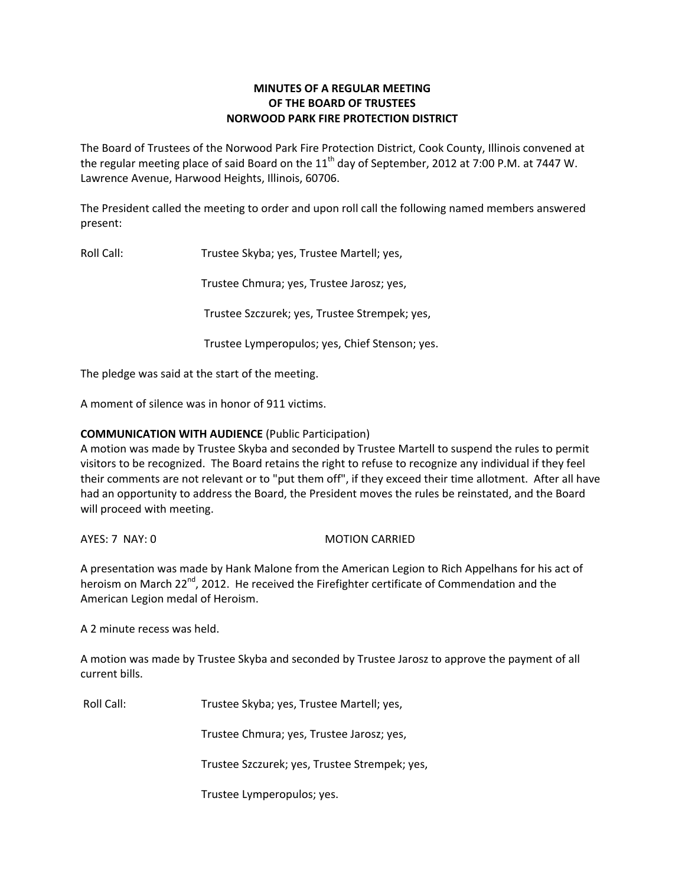# **MINUTES OF A REGULAR MEETING OF THE BOARD OF TRUSTEES NORWOOD PARK FIRE PROTECTION DISTRICT**

The Board of Trustees of the Norwood Park Fire Protection District, Cook County, Illinois convened at the regular meeting place of said Board on the  $11<sup>th</sup>$  day of September, 2012 at 7:00 P.M. at 7447 W. Lawrence Avenue, Harwood Heights, Illinois, 60706.

The President called the meeting to order and upon roll call the following named members answered present:

Roll Call: Trustee Skyba; yes, Trustee Martell; yes,

Trustee Chmura; yes, Trustee Jarosz; yes,

Trustee Szczurek; yes, Trustee Strempek; yes,

Trustee Lymperopulos; yes, Chief Stenson; yes.

The pledge was said at the start of the meeting.

A moment of silence was in honor of 911 victims.

## **COMMUNICATION WITH AUDIENCE** (Public Participation)

A motion was made by Trustee Skyba and seconded by Trustee Martell to suspend the rules to permit visitors to be recognized. The Board retains the right to refuse to recognize any individual if they feel their comments are not relevant or to "put them off", if they exceed their time allotment. After all have had an opportunity to address the Board, the President moves the rules be reinstated, and the Board will proceed with meeting.

AYES: 7 NAY: 0 MOTION CARRIED

A presentation was made by Hank Malone from the American Legion to Rich Appelhans for his act of heroism on March 22<sup>nd</sup>, 2012. He received the Firefighter certificate of Commendation and the American Legion medal of Heroism.

A 2 minute recess was held.

A motion was made by Trustee Skyba and seconded by Trustee Jarosz to approve the payment of all current bills.

Roll Call: Trustee Skyba; yes, Trustee Martell; yes,

Trustee Chmura; yes, Trustee Jarosz; yes,

Trustee Szczurek; yes, Trustee Strempek; yes,

Trustee Lymperopulos; yes.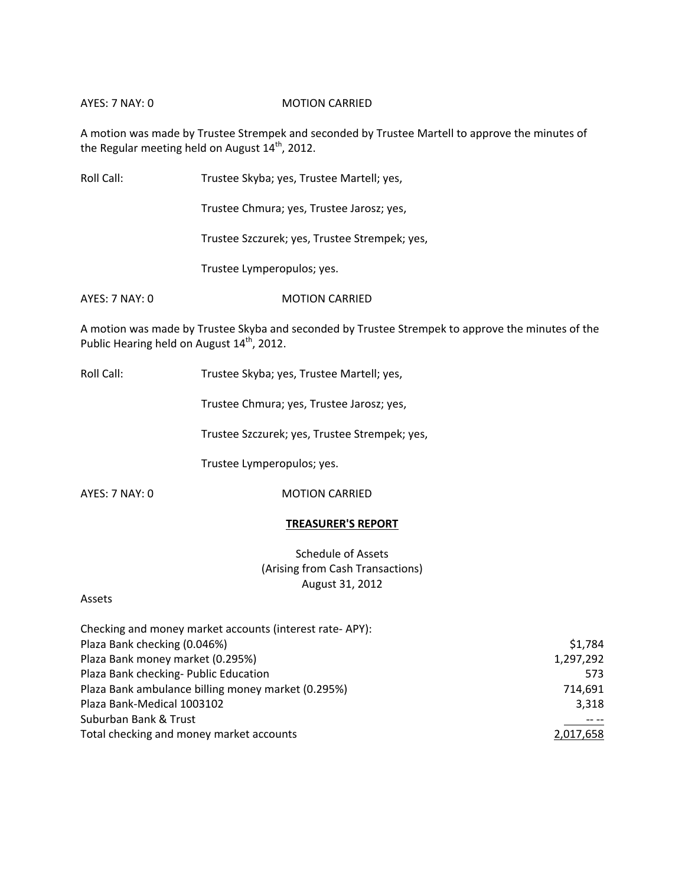### AYES: 7 NAY: 0 MOTION CARRIED

A motion was made by Trustee Strempek and seconded by Trustee Martell to approve the minutes of the Regular meeting held on August  $14^{\text{th}}$ , 2012.

Roll Call: Trustee Skyba; yes, Trustee Martell; yes,

Trustee Chmura; yes, Trustee Jarosz; yes,

Trustee Szczurek; yes, Trustee Strempek; yes,

Trustee Lymperopulos; yes.

AYES: 7 NAY: 0 MOTION CARRIED

A motion was made by Trustee Skyba and seconded by Trustee Strempek to approve the minutes of the Public Hearing held on August 14<sup>th</sup>, 2012.

Roll Call: Trustee Skyba; yes, Trustee Martell; yes,

Trustee Chmura; yes, Trustee Jarosz; yes,

Trustee Szczurek; yes, Trustee Strempek; yes,

Trustee Lymperopulos; yes.

AYES: 7 NAY: 0 MOTION CARRIED

## **TREASURER'S REPORT**

Schedule of Assets (Arising from Cash Transactions) August 31, 2012

#### Assets

| Checking and money market accounts (interest rate-APY): |           |
|---------------------------------------------------------|-----------|
| Plaza Bank checking (0.046%)                            | \$1,784   |
| Plaza Bank money market (0.295%)                        | 1,297,292 |
| Plaza Bank checking- Public Education                   | 573       |
| Plaza Bank ambulance billing money market (0.295%)      | 714.691   |
| Plaza Bank-Medical 1003102                              | 3,318     |
| Suburban Bank & Trust                                   |           |
| Total checking and money market accounts                | 2,017,658 |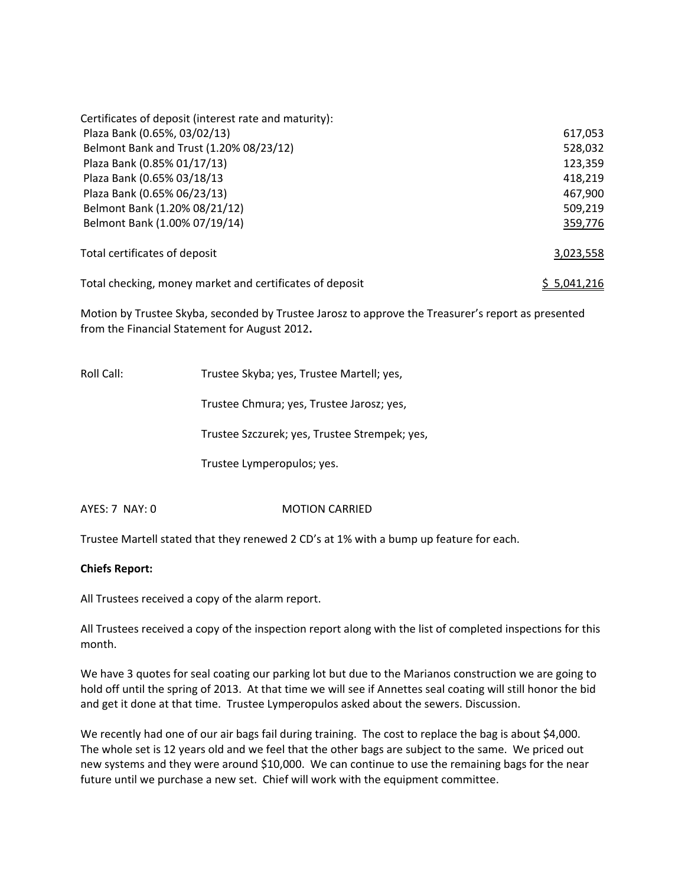| Certificates of deposit (interest rate and maturity):    |             |  |
|----------------------------------------------------------|-------------|--|
| Plaza Bank (0.65%, 03/02/13)                             | 617,053     |  |
| Belmont Bank and Trust (1.20% 08/23/12)                  | 528,032     |  |
| Plaza Bank (0.85% 01/17/13)                              | 123,359     |  |
| Plaza Bank (0.65% 03/18/13                               | 418,219     |  |
| Plaza Bank (0.65% 06/23/13)                              | 467,900     |  |
| Belmont Bank (1.20% 08/21/12)                            | 509,219     |  |
| Belmont Bank (1.00% 07/19/14)                            | 359,776     |  |
| Total certificates of deposit                            | 3,023,558   |  |
| Total checking, money market and certificates of deposit | \$5,041,216 |  |

Motion by Trustee Skyba, seconded by Trustee Jarosz to approve the Treasurer's report as presented from the Financial Statement for August 2012**.**

Roll Call: Trustee Skyba; yes, Trustee Martell; yes, Trustee Chmura; yes, Trustee Jarosz; yes, Trustee Szczurek; yes, Trustee Strempek; yes,

Trustee Lymperopulos; yes.

AYES: 7 NAY: 0 **MOTION CARRIED** 

Trustee Martell stated that they renewed 2 CD's at 1% with a bump up feature for each.

## **Chiefs Report:**

All Trustees received a copy of the alarm report.

All Trustees received a copy of the inspection report along with the list of completed inspections for this month.

We have 3 quotes for seal coating our parking lot but due to the Marianos construction we are going to hold off until the spring of 2013. At that time we will see if Annettes seal coating will still honor the bid and get it done at that time. Trustee Lymperopulos asked about the sewers. Discussion.

We recently had one of our air bags fail during training. The cost to replace the bag is about \$4,000. The whole set is 12 years old and we feel that the other bags are subject to the same. We priced out new systems and they were around \$10,000. We can continue to use the remaining bags for the near future until we purchase a new set. Chief will work with the equipment committee.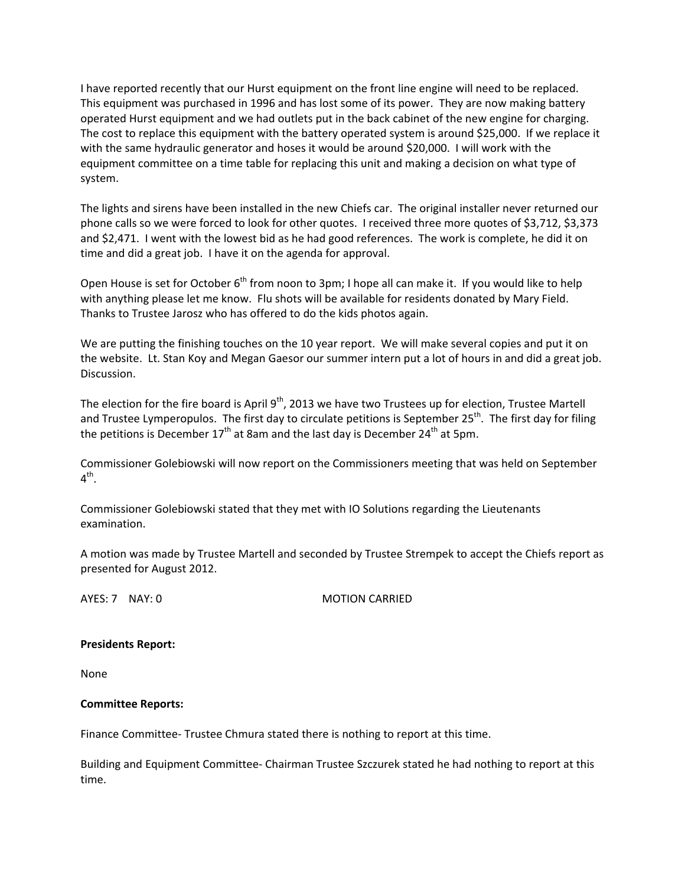I have reported recently that our Hurst equipment on the front line engine will need to be replaced. This equipment was purchased in 1996 and has lost some of its power. They are now making battery operated Hurst equipment and we had outlets put in the back cabinet of the new engine for charging. The cost to replace this equipment with the battery operated system is around \$25,000. If we replace it with the same hydraulic generator and hoses it would be around \$20,000. I will work with the equipment committee on a time table for replacing this unit and making a decision on what type of system.

The lights and sirens have been installed in the new Chiefs car. The original installer never returned our phone calls so we were forced to look for other quotes. I received three more quotes of \$3,712, \$3,373 and \$2,471. I went with the lowest bid as he had good references. The work is complete, he did it on time and did a great job. I have it on the agenda for approval.

Open House is set for October 6<sup>th</sup> from noon to 3pm; I hope all can make it. If you would like to help with anything please let me know. Flu shots will be available for residents donated by Mary Field. Thanks to Trustee Jarosz who has offered to do the kids photos again.

We are putting the finishing touches on the 10 year report. We will make several copies and put it on the website. Lt. Stan Koy and Megan Gaesor our summer intern put a lot of hours in and did a great job. Discussion.

The election for the fire board is April 9<sup>th</sup>, 2013 we have two Trustees up for election, Trustee Martell and Trustee Lymperopulos. The first day to circulate petitions is September 25<sup>th</sup>. The first day for filing the petitions is December  $17<sup>th</sup>$  at 8am and the last day is December 24<sup>th</sup> at 5pm.

Commissioner Golebiowski will now report on the Commissioners meeting that was held on September  $4^{\text{th}}$ .

Commissioner Golebiowski stated that they met with IO Solutions regarding the Lieutenants examination.

A motion was made by Trustee Martell and seconded by Trustee Strempek to accept the Chiefs report as presented for August 2012.

AYES: 7 NAY: 0 MOTION CARRIED

#### **Presidents Report:**

None

## **Committee Reports:**

Finance Committee‐ Trustee Chmura stated there is nothing to report at this time.

Building and Equipment Committee‐ Chairman Trustee Szczurek stated he had nothing to report at this time.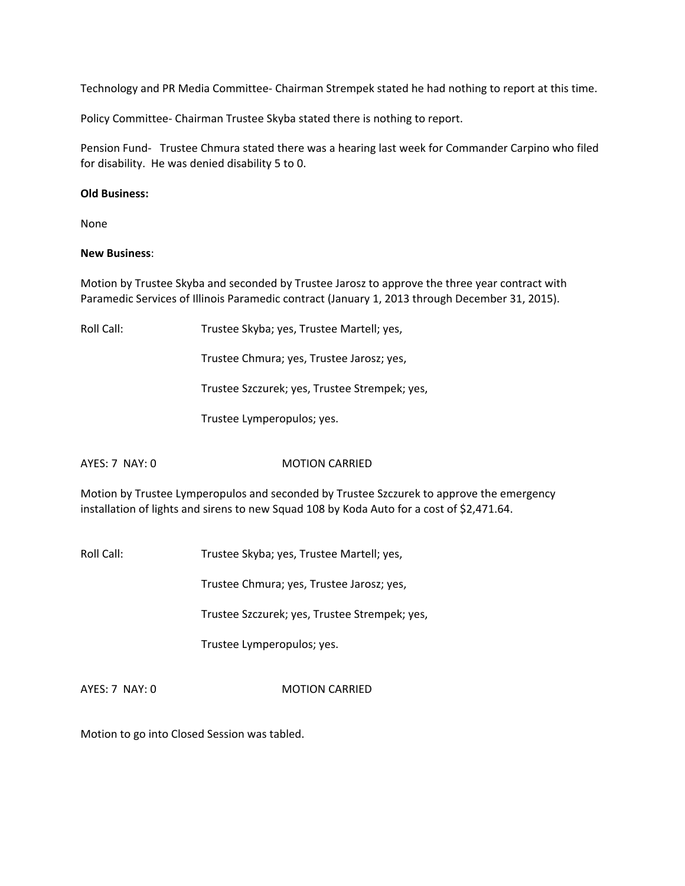Technology and PR Media Committee‐ Chairman Strempek stated he had nothing to report at this time.

Policy Committee‐ Chairman Trustee Skyba stated there is nothing to report.

Pension Fund- Trustee Chmura stated there was a hearing last week for Commander Carpino who filed for disability. He was denied disability 5 to 0.

### **Old Business:**

None

#### **New Business**:

Motion by Trustee Skyba and seconded by Trustee Jarosz to approve the three year contract with Paramedic Services of Illinois Paramedic contract (January 1, 2013 through December 31, 2015).

Roll Call: Trustee Skyba; yes, Trustee Martell; yes,

Trustee Chmura; yes, Trustee Jarosz; yes,

Trustee Szczurek; yes, Trustee Strempek; yes,

Trustee Lymperopulos; yes.

AYES: 7 NAY: 0 MOTION CARRIED

Motion by Trustee Lymperopulos and seconded by Trustee Szczurek to approve the emergency installation of lights and sirens to new Squad 108 by Koda Auto for a cost of \$2,471.64.

Roll Call: Trustee Skyba; yes, Trustee Martell; yes,

Trustee Chmura; yes, Trustee Jarosz; yes,

Trustee Szczurek; yes, Trustee Strempek; yes,

Trustee Lymperopulos; yes.

AYES: 7 NAY: 0 MOTION CARRIED

Motion to go into Closed Session was tabled.